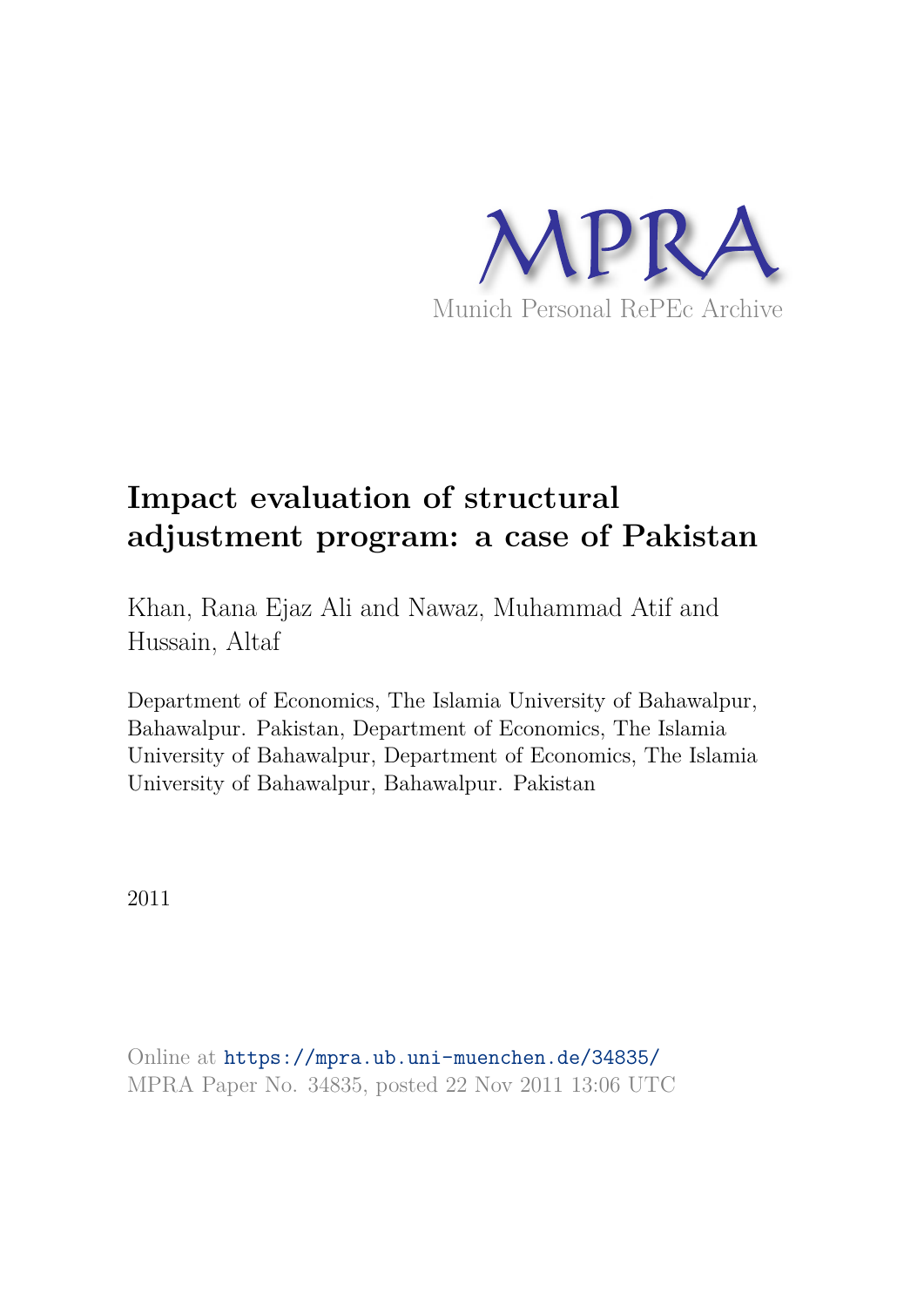

# **Impact evaluation of structural adjustment program: a case of Pakistan**

Khan, Rana Ejaz Ali and Nawaz, Muhammad Atif and Hussain, Altaf

Department of Economics, The Islamia University of Bahawalpur, Bahawalpur. Pakistan, Department of Economics, The Islamia University of Bahawalpur, Department of Economics, The Islamia University of Bahawalpur, Bahawalpur. Pakistan

2011

Online at https://mpra.ub.uni-muenchen.de/34835/ MPRA Paper No. 34835, posted 22 Nov 2011 13:06 UTC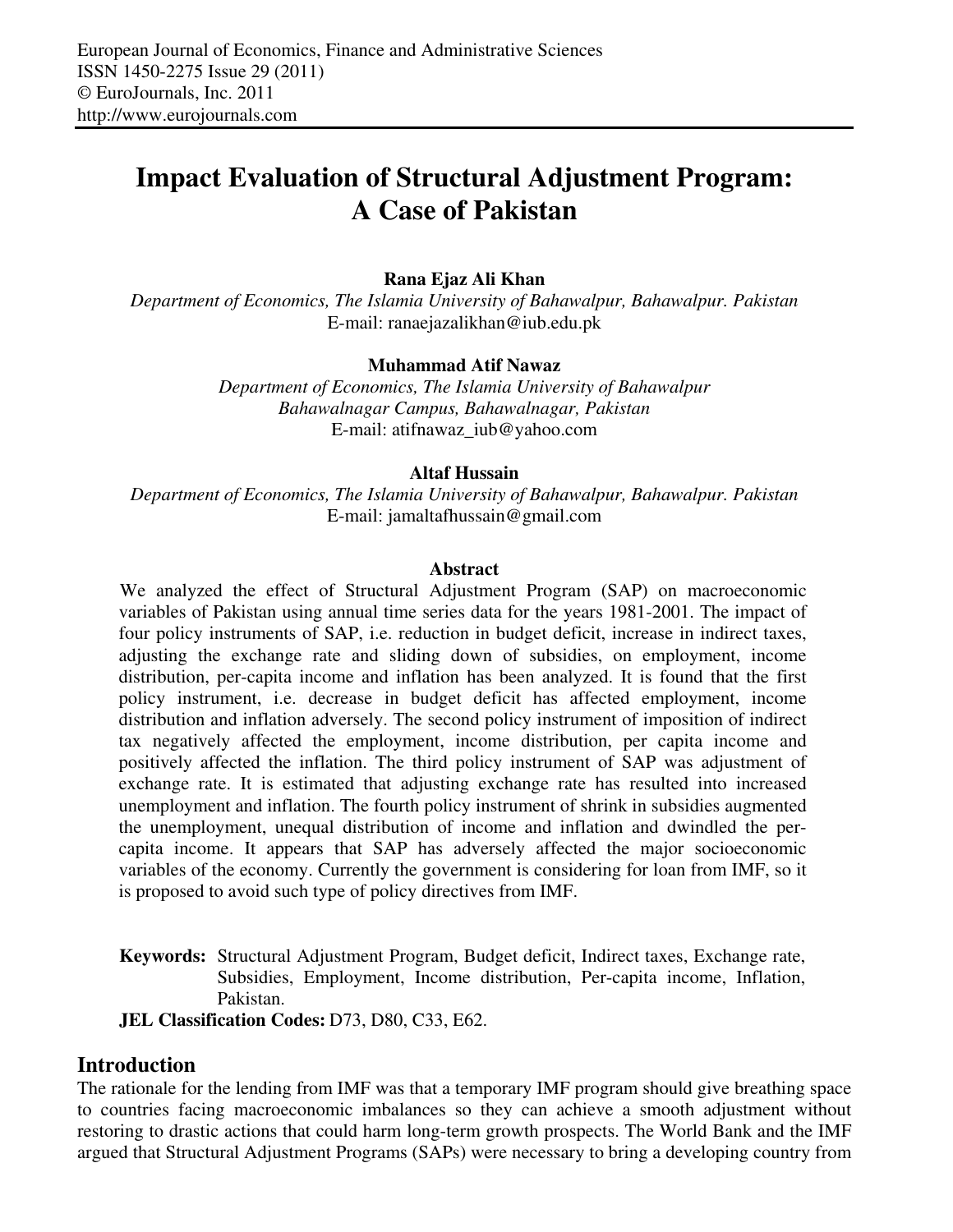# **Impact Evaluation of Structural Adjustment Program: A Case of Pakistan**

## **Rana Ejaz Ali Khan**

*Department of Economics, The Islamia University of Bahawalpur, Bahawalpur. Pakistan*  E-mail: ranaejazalikhan@iub.edu.pk

#### **Muhammad Atif Nawaz**

*Department of Economics, The Islamia University of Bahawalpur Bahawalnagar Campus, Bahawalnagar, Pakistan*  E-mail: atifnawaz\_iub@yahoo.com

#### **Altaf Hussain**

*Department of Economics, The Islamia University of Bahawalpur, Bahawalpur. Pakistan*  E-mail: jamaltafhussain@gmail.com

#### **Abstract**

We analyzed the effect of Structural Adjustment Program (SAP) on macroeconomic variables of Pakistan using annual time series data for the years 1981-2001. The impact of four policy instruments of SAP, i.e. reduction in budget deficit, increase in indirect taxes, adjusting the exchange rate and sliding down of subsidies, on employment, income distribution, per-capita income and inflation has been analyzed. It is found that the first policy instrument, i.e. decrease in budget deficit has affected employment, income distribution and inflation adversely. The second policy instrument of imposition of indirect tax negatively affected the employment, income distribution, per capita income and positively affected the inflation. The third policy instrument of SAP was adjustment of exchange rate. It is estimated that adjusting exchange rate has resulted into increased unemployment and inflation. The fourth policy instrument of shrink in subsidies augmented the unemployment, unequal distribution of income and inflation and dwindled the percapita income. It appears that SAP has adversely affected the major socioeconomic variables of the economy. Currently the government is considering for loan from IMF, so it is proposed to avoid such type of policy directives from IMF.

**Keywords:** Structural Adjustment Program, Budget deficit, Indirect taxes, Exchange rate, Subsidies, Employment, Income distribution, Per-capita income, Inflation, Pakistan.

**JEL Classification Codes:** D73, D80, C33, E62.

## **Introduction**

The rationale for the lending from IMF was that a temporary IMF program should give breathing space to countries facing macroeconomic imbalances so they can achieve a smooth adjustment without restoring to drastic actions that could harm long-term growth prospects. The World Bank and the IMF argued that Structural Adjustment Programs (SAPs) were necessary to bring a developing country from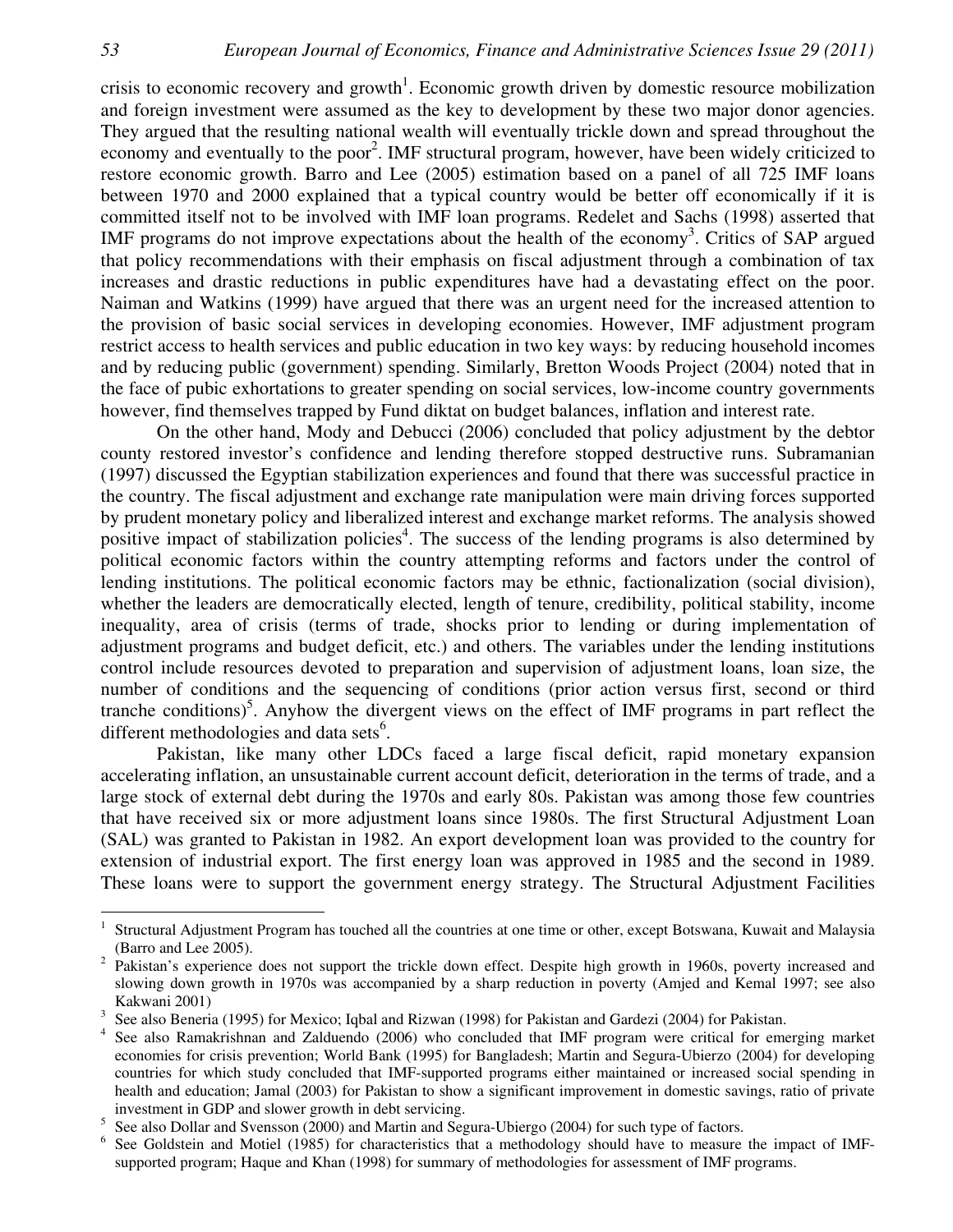crisis to economic recovery and growth<sup>1</sup>. Economic growth driven by domestic resource mobilization and foreign investment were assumed as the key to development by these two major donor agencies. They argued that the resulting national wealth will eventually trickle down and spread throughout the economy and eventually to the poor<sup>2</sup>. IMF structural program, however, have been widely criticized to restore economic growth. Barro and Lee (2005) estimation based on a panel of all 725 IMF loans between 1970 and 2000 explained that a typical country would be better off economically if it is committed itself not to be involved with IMF loan programs. Redelet and Sachs (1998) asserted that IMF programs do not improve expectations about the health of the economy<sup>3</sup>. Critics of SAP argued that policy recommendations with their emphasis on fiscal adjustment through a combination of tax increases and drastic reductions in public expenditures have had a devastating effect on the poor. Naiman and Watkins (1999) have argued that there was an urgent need for the increased attention to the provision of basic social services in developing economies. However, IMF adjustment program restrict access to health services and public education in two key ways: by reducing household incomes and by reducing public (government) spending. Similarly, Bretton Woods Project (2004) noted that in the face of pubic exhortations to greater spending on social services, low-income country governments however, find themselves trapped by Fund diktat on budget balances, inflation and interest rate.

On the other hand, Mody and Debucci (2006) concluded that policy adjustment by the debtor county restored investor's confidence and lending therefore stopped destructive runs. Subramanian (1997) discussed the Egyptian stabilization experiences and found that there was successful practice in the country. The fiscal adjustment and exchange rate manipulation were main driving forces supported by prudent monetary policy and liberalized interest and exchange market reforms. The analysis showed positive impact of stabilization policies<sup>4</sup>. The success of the lending programs is also determined by political economic factors within the country attempting reforms and factors under the control of lending institutions. The political economic factors may be ethnic, factionalization (social division), whether the leaders are democratically elected, length of tenure, credibility, political stability, income inequality, area of crisis (terms of trade, shocks prior to lending or during implementation of adjustment programs and budget deficit, etc.) and others. The variables under the lending institutions control include resources devoted to preparation and supervision of adjustment loans, loan size, the number of conditions and the sequencing of conditions (prior action versus first, second or third tranche conditions)<sup>5</sup>. Anyhow the divergent views on the effect of IMF programs in part reflect the different methodologies and data sets<sup>6</sup>.

Pakistan, like many other LDCs faced a large fiscal deficit, rapid monetary expansion accelerating inflation, an unsustainable current account deficit, deterioration in the terms of trade, and a large stock of external debt during the 1970s and early 80s. Pakistan was among those few countries that have received six or more adjustment loans since 1980s. The first Structural Adjustment Loan (SAL) was granted to Pakistan in 1982. An export development loan was provided to the country for extension of industrial export. The first energy loan was approved in 1985 and the second in 1989. These loans were to support the government energy strategy. The Structural Adjustment Facilities

 $\overline{a}$ 

<sup>1</sup> Structural Adjustment Program has touched all the countries at one time or other, except Botswana, Kuwait and Malaysia (Barro and Lee 2005).

<sup>&</sup>lt;sup>2</sup> Pakistan's experience does not support the trickle down effect. Despite high growth in 1960s, poverty increased and slowing down growth in 1970s was accompanied by a sharp reduction in poverty (Amjed and Kemal 1997; see also Kakwani 2001)

<sup>&</sup>lt;sup>3</sup> See also Beneria (1995) for Mexico; Iqbal and Rizwan (1998) for Pakistan and Gardezi (2004) for Pakistan.

<sup>4</sup> See also Ramakrishnan and Zalduendo (2006) who concluded that IMF program were critical for emerging market economies for crisis prevention; World Bank (1995) for Bangladesh; Martin and Segura-Ubierzo (2004) for developing countries for which study concluded that IMF-supported programs either maintained or increased social spending in health and education; Jamal (2003) for Pakistan to show a significant improvement in domestic savings, ratio of private investment in GDP and slower growth in debt servicing.

<sup>5</sup> See also Dollar and Svensson (2000) and Martin and Segura-Ubiergo (2004) for such type of factors.

<sup>6</sup> See Goldstein and Motiel (1985) for characteristics that a methodology should have to measure the impact of IMFsupported program; Haque and Khan (1998) for summary of methodologies for assessment of IMF programs.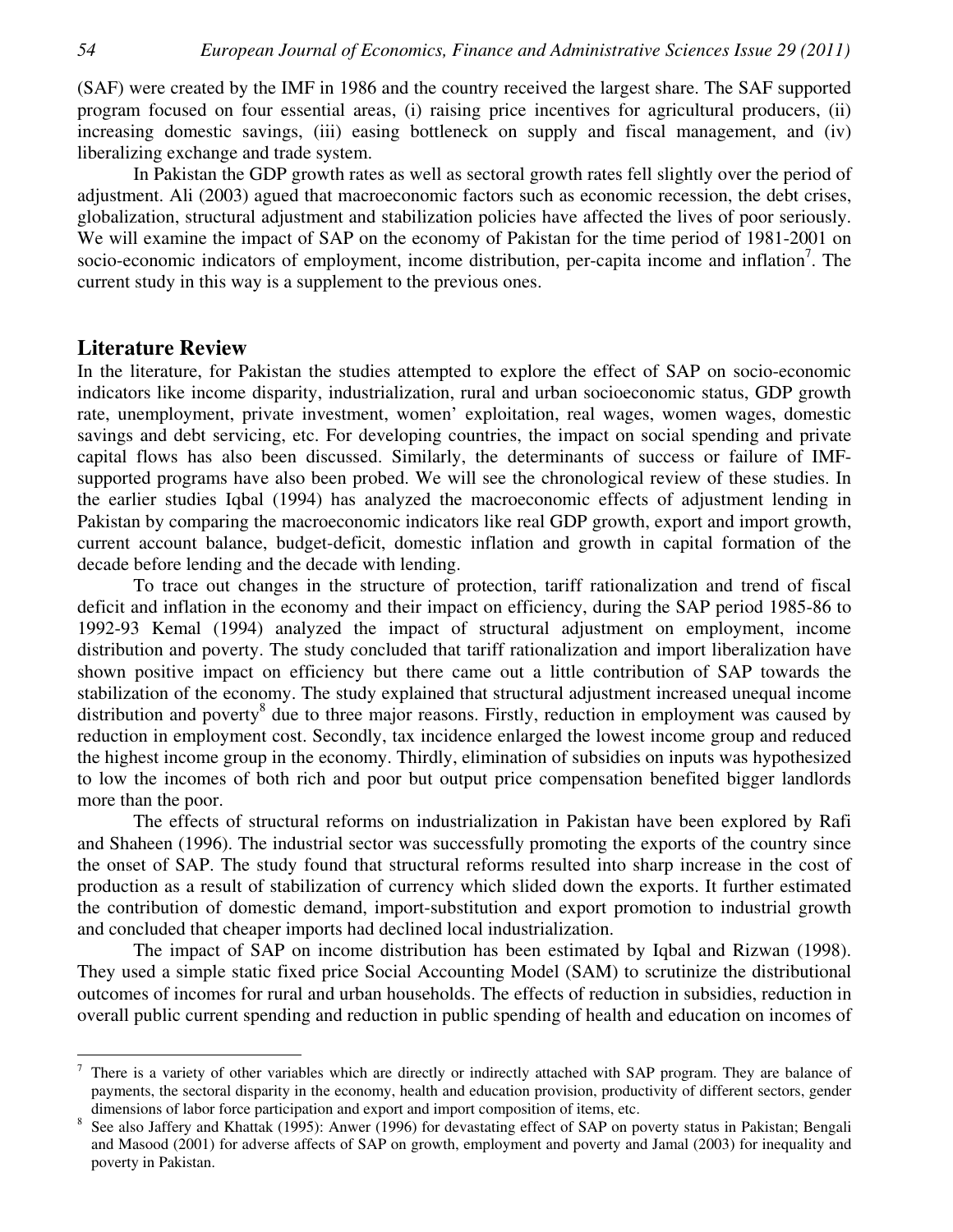(SAF) were created by the IMF in 1986 and the country received the largest share. The SAF supported program focused on four essential areas, (i) raising price incentives for agricultural producers, (ii) increasing domestic savings, (iii) easing bottleneck on supply and fiscal management, and (iv) liberalizing exchange and trade system.

In Pakistan the GDP growth rates as well as sectoral growth rates fell slightly over the period of adjustment. Ali (2003) agued that macroeconomic factors such as economic recession, the debt crises, globalization, structural adjustment and stabilization policies have affected the lives of poor seriously. We will examine the impact of SAP on the economy of Pakistan for the time period of 1981-2001 on socio-economic indicators of employment, income distribution, per-capita income and inflation<sup>7</sup>. The current study in this way is a supplement to the previous ones.

# **Literature Review**

In the literature, for Pakistan the studies attempted to explore the effect of SAP on socio-economic indicators like income disparity, industrialization, rural and urban socioeconomic status, GDP growth rate, unemployment, private investment, women' exploitation, real wages, women wages, domestic savings and debt servicing, etc. For developing countries, the impact on social spending and private capital flows has also been discussed. Similarly, the determinants of success or failure of IMFsupported programs have also been probed. We will see the chronological review of these studies. In the earlier studies Iqbal (1994) has analyzed the macroeconomic effects of adjustment lending in Pakistan by comparing the macroeconomic indicators like real GDP growth, export and import growth, current account balance, budget-deficit, domestic inflation and growth in capital formation of the decade before lending and the decade with lending.

To trace out changes in the structure of protection, tariff rationalization and trend of fiscal deficit and inflation in the economy and their impact on efficiency, during the SAP period 1985-86 to 1992-93 Kemal (1994) analyzed the impact of structural adjustment on employment, income distribution and poverty. The study concluded that tariff rationalization and import liberalization have shown positive impact on efficiency but there came out a little contribution of SAP towards the stabilization of the economy. The study explained that structural adjustment increased unequal income distribution and poverty<sup>8</sup> due to three major reasons. Firstly, reduction in employment was caused by reduction in employment cost. Secondly, tax incidence enlarged the lowest income group and reduced the highest income group in the economy. Thirdly, elimination of subsidies on inputs was hypothesized to low the incomes of both rich and poor but output price compensation benefited bigger landlords more than the poor.

The effects of structural reforms on industrialization in Pakistan have been explored by Rafi and Shaheen (1996). The industrial sector was successfully promoting the exports of the country since the onset of SAP. The study found that structural reforms resulted into sharp increase in the cost of production as a result of stabilization of currency which slided down the exports. It further estimated the contribution of domestic demand, import-substitution and export promotion to industrial growth and concluded that cheaper imports had declined local industrialization.

The impact of SAP on income distribution has been estimated by Iqbal and Rizwan (1998). They used a simple static fixed price Social Accounting Model (SAM) to scrutinize the distributional outcomes of incomes for rural and urban households. The effects of reduction in subsidies, reduction in overall public current spending and reduction in public spending of health and education on incomes of

<sup>-&</sup>lt;br>7 There is a variety of other variables which are directly or indirectly attached with SAP program. They are balance of payments, the sectoral disparity in the economy, health and education provision, productivity of different sectors, gender dimensions of labor force participation and export and import composition of items, etc.

<sup>8</sup> See also Jaffery and Khattak (1995): Anwer (1996) for devastating effect of SAP on poverty status in Pakistan; Bengali and Masood (2001) for adverse affects of SAP on growth, employment and poverty and Jamal (2003) for inequality and poverty in Pakistan.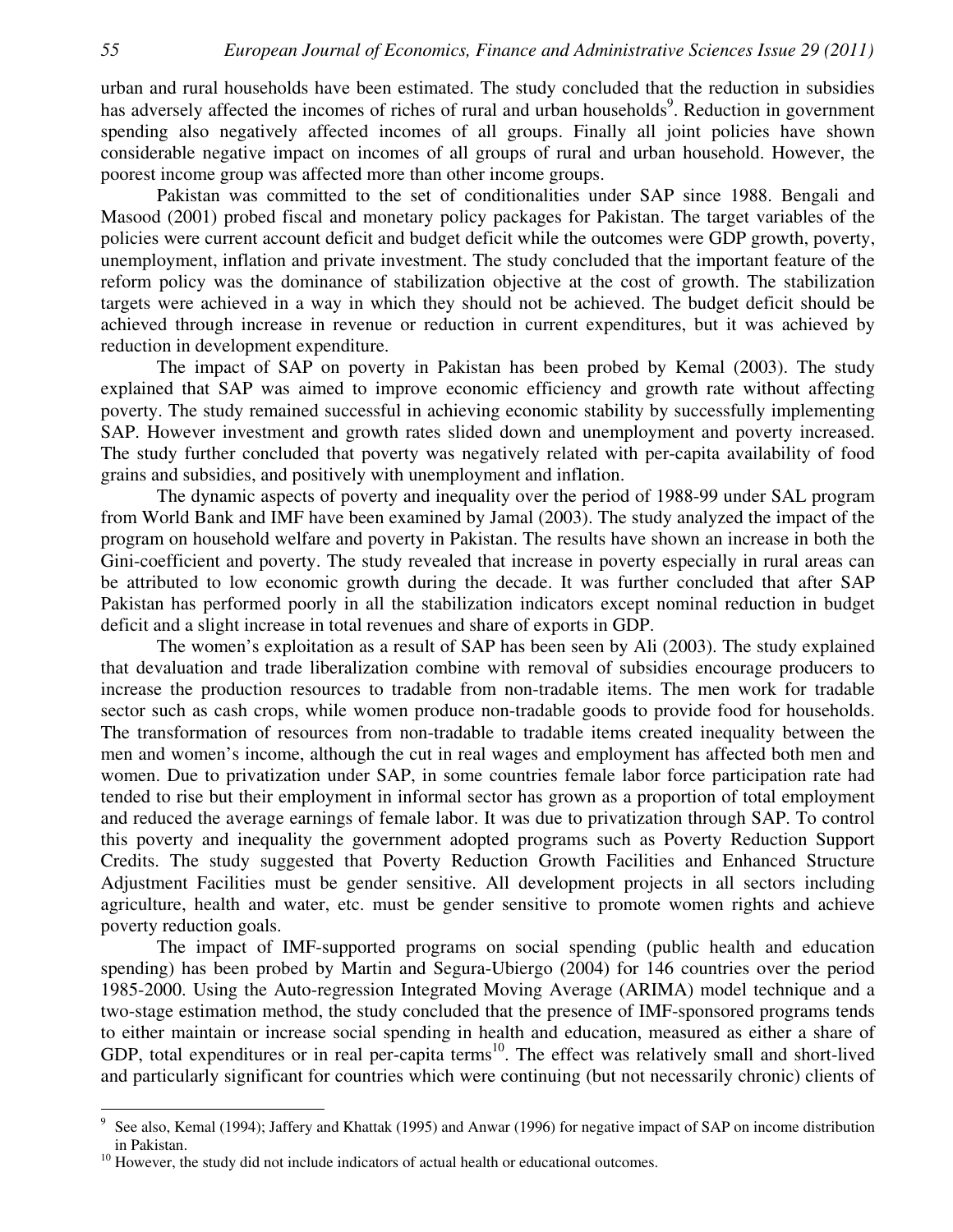urban and rural households have been estimated. The study concluded that the reduction in subsidies has adversely affected the incomes of riches of rural and urban households<sup>9</sup>. Reduction in government spending also negatively affected incomes of all groups. Finally all joint policies have shown considerable negative impact on incomes of all groups of rural and urban household. However, the poorest income group was affected more than other income groups.

Pakistan was committed to the set of conditionalities under SAP since 1988. Bengali and Masood (2001) probed fiscal and monetary policy packages for Pakistan. The target variables of the policies were current account deficit and budget deficit while the outcomes were GDP growth, poverty, unemployment, inflation and private investment. The study concluded that the important feature of the reform policy was the dominance of stabilization objective at the cost of growth. The stabilization targets were achieved in a way in which they should not be achieved. The budget deficit should be achieved through increase in revenue or reduction in current expenditures, but it was achieved by reduction in development expenditure.

The impact of SAP on poverty in Pakistan has been probed by Kemal (2003). The study explained that SAP was aimed to improve economic efficiency and growth rate without affecting poverty. The study remained successful in achieving economic stability by successfully implementing SAP. However investment and growth rates slided down and unemployment and poverty increased. The study further concluded that poverty was negatively related with per-capita availability of food grains and subsidies, and positively with unemployment and inflation.

The dynamic aspects of poverty and inequality over the period of 1988-99 under SAL program from World Bank and IMF have been examined by Jamal (2003). The study analyzed the impact of the program on household welfare and poverty in Pakistan. The results have shown an increase in both the Gini-coefficient and poverty. The study revealed that increase in poverty especially in rural areas can be attributed to low economic growth during the decade. It was further concluded that after SAP Pakistan has performed poorly in all the stabilization indicators except nominal reduction in budget deficit and a slight increase in total revenues and share of exports in GDP.

The women's exploitation as a result of SAP has been seen by Ali (2003). The study explained that devaluation and trade liberalization combine with removal of subsidies encourage producers to increase the production resources to tradable from non-tradable items. The men work for tradable sector such as cash crops, while women produce non-tradable goods to provide food for households. The transformation of resources from non-tradable to tradable items created inequality between the men and women's income, although the cut in real wages and employment has affected both men and women. Due to privatization under SAP, in some countries female labor force participation rate had tended to rise but their employment in informal sector has grown as a proportion of total employment and reduced the average earnings of female labor. It was due to privatization through SAP. To control this poverty and inequality the government adopted programs such as Poverty Reduction Support Credits. The study suggested that Poverty Reduction Growth Facilities and Enhanced Structure Adjustment Facilities must be gender sensitive. All development projects in all sectors including agriculture, health and water, etc. must be gender sensitive to promote women rights and achieve poverty reduction goals.

The impact of IMF-supported programs on social spending (public health and education spending) has been probed by Martin and Segura-Ubiergo (2004) for 146 countries over the period 1985-2000. Using the Auto-regression Integrated Moving Average (ARIMA) model technique and a two-stage estimation method, the study concluded that the presence of IMF-sponsored programs tends to either maintain or increase social spending in health and education, measured as either a share of GDP, total expenditures or in real per-capita terms<sup>10</sup>. The effect was relatively small and short-lived and particularly significant for countries which were continuing (but not necessarily chronic) clients of

 $\overline{a}$ 

<sup>9</sup> See also, Kemal (1994); Jaffery and Khattak (1995) and Anwar (1996) for negative impact of SAP on income distribution in Pakistan.

<sup>&</sup>lt;sup>10</sup> However, the study did not include indicators of actual health or educational outcomes.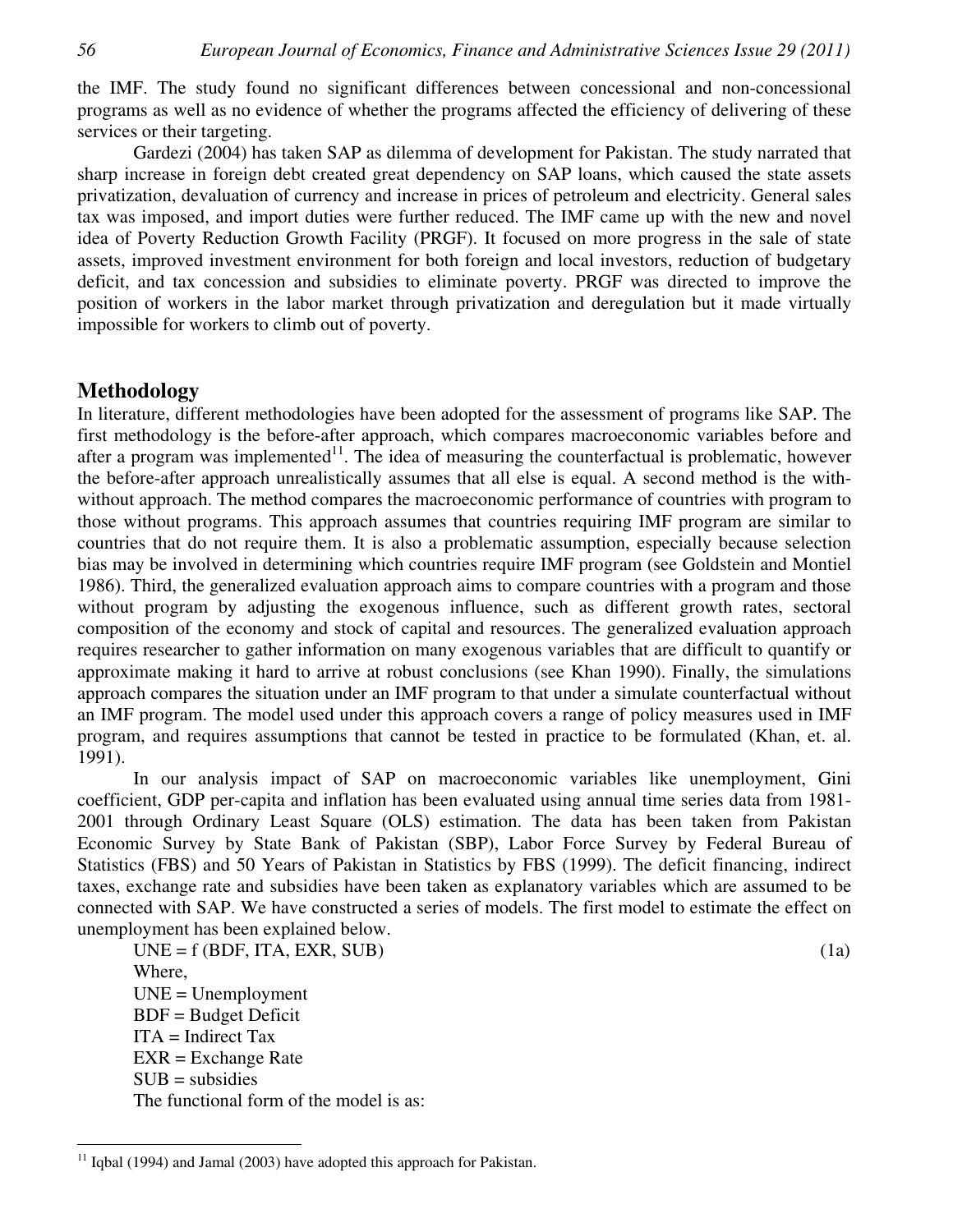the IMF. The study found no significant differences between concessional and non-concessional programs as well as no evidence of whether the programs affected the efficiency of delivering of these services or their targeting.

Gardezi (2004) has taken SAP as dilemma of development for Pakistan. The study narrated that sharp increase in foreign debt created great dependency on SAP loans, which caused the state assets privatization, devaluation of currency and increase in prices of petroleum and electricity. General sales tax was imposed, and import duties were further reduced. The IMF came up with the new and novel idea of Poverty Reduction Growth Facility (PRGF). It focused on more progress in the sale of state assets, improved investment environment for both foreign and local investors, reduction of budgetary deficit, and tax concession and subsidies to eliminate poverty. PRGF was directed to improve the position of workers in the labor market through privatization and deregulation but it made virtually impossible for workers to climb out of poverty.

## **Methodology**

 $\overline{a}$ 

In literature, different methodologies have been adopted for the assessment of programs like SAP. The first methodology is the before-after approach, which compares macroeconomic variables before and after a program was implemented $11$ . The idea of measuring the counterfactual is problematic, however the before-after approach unrealistically assumes that all else is equal. A second method is the withwithout approach. The method compares the macroeconomic performance of countries with program to those without programs. This approach assumes that countries requiring IMF program are similar to countries that do not require them. It is also a problematic assumption, especially because selection bias may be involved in determining which countries require IMF program (see Goldstein and Montiel 1986). Third, the generalized evaluation approach aims to compare countries with a program and those without program by adjusting the exogenous influence, such as different growth rates, sectoral composition of the economy and stock of capital and resources. The generalized evaluation approach requires researcher to gather information on many exogenous variables that are difficult to quantify or approximate making it hard to arrive at robust conclusions (see Khan 1990). Finally, the simulations approach compares the situation under an IMF program to that under a simulate counterfactual without an IMF program. The model used under this approach covers a range of policy measures used in IMF program, and requires assumptions that cannot be tested in practice to be formulated (Khan, et. al. 1991).

In our analysis impact of SAP on macroeconomic variables like unemployment, Gini coefficient, GDP per-capita and inflation has been evaluated using annual time series data from 1981- 2001 through Ordinary Least Square (OLS) estimation. The data has been taken from Pakistan Economic Survey by State Bank of Pakistan (SBP), Labor Force Survey by Federal Bureau of Statistics (FBS) and 50 Years of Pakistan in Statistics by FBS (1999). The deficit financing, indirect taxes, exchange rate and subsidies have been taken as explanatory variables which are assumed to be connected with SAP. We have constructed a series of models. The first model to estimate the effect on unemployment has been explained below.

 $UNE = f(BDF, ITA, EXR, SUB)$  (1a) Where, UNE = Unemployment BDF = Budget Deficit  $ITA = Indirect Tax$ EXR = Exchange Rate  $SUB =$  subsidies The functional form of the model is as:

 $11$  Iqbal (1994) and Jamal (2003) have adopted this approach for Pakistan.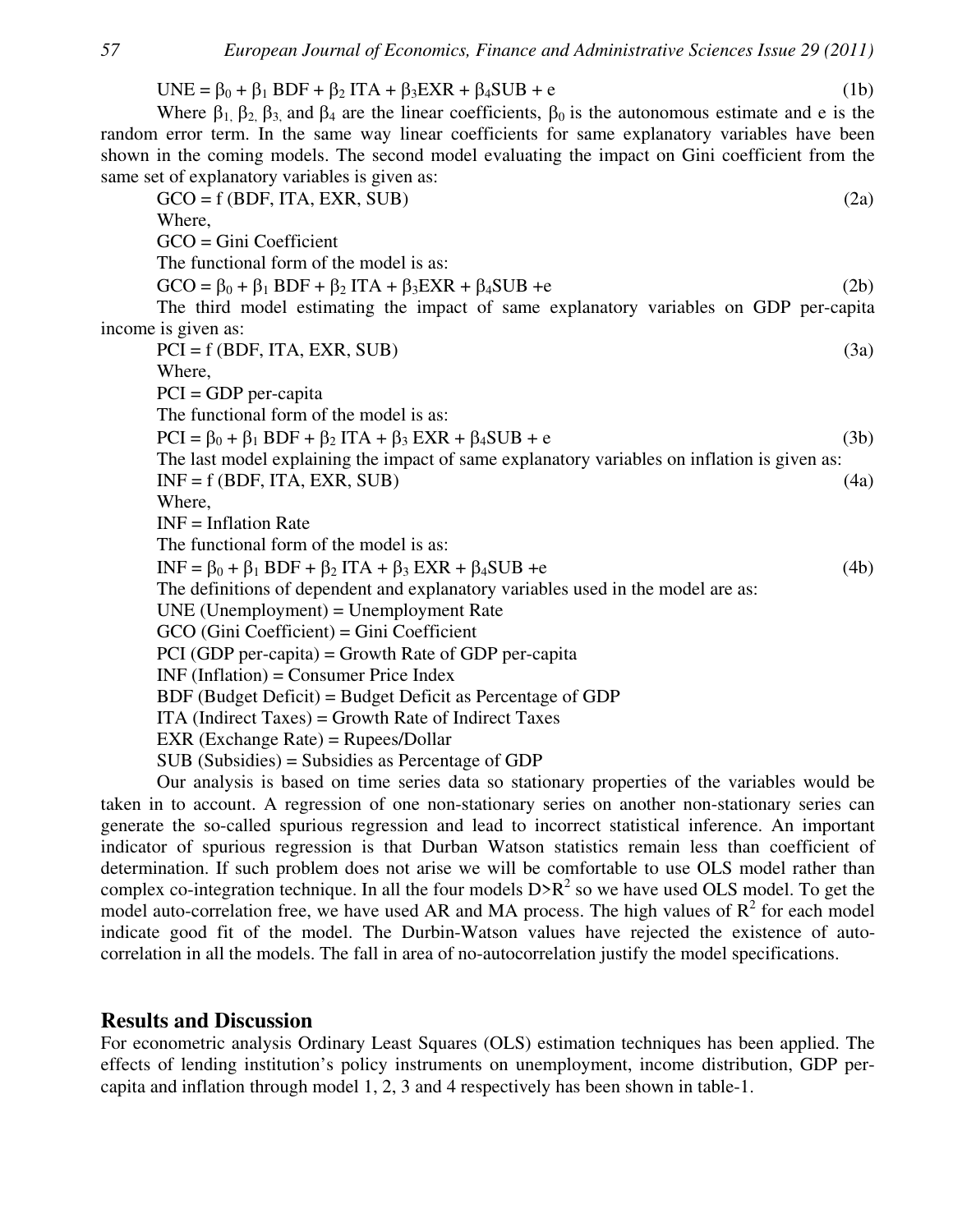UNE =  $\beta_0$  +  $\beta_1$  BDF +  $\beta_2$  ITA +  $\beta_3$ EXR +  $\beta_4$ SUB + e (1b)

Where  $\beta_1$ ,  $\beta_2$ ,  $\beta_3$  and  $\beta_4$  are the linear coefficients,  $\beta_0$  is the autonomous estimate and e is the random error term. In the same way linear coefficients for same explanatory variables have been shown in the coming models. The second model evaluating the impact on Gini coefficient from the same set of explanatory variables is given as:

 $GCO = f(BDF, ITA, EXR, SUB)$  (2a) Where, GCO = Gini Coefficient The functional form of the model is as:  $GCO = \beta_0 + \beta_1 BDF + \beta_2 ITA + \beta_3 EXR + \beta_4 SUB +e$  (2b) The third model estimating the impact of same explanatory variables on GDP per-capita income is given as:  $PCI = f (BDF, ITA, EXR, SUB)$  (3a) Where, PCI = GDP per-capita The functional form of the model is as:  $PCI = \beta_0 + \beta_1 BDF + \beta_2 ITA + \beta_3 EXR + \beta_4 SUB + e$  (3b) The last model explaining the impact of same explanatory variables on inflation is given as:  $INF = f(BDF, ITA, EXR, SUB)$  (4a) Where, INF = Inflation Rate The functional form of the model is as:  $INF = \beta_0 + \beta_1 BDF + \beta_2 ITA + \beta_3 EXR + \beta_4 SUB +e$  (4b) The definitions of dependent and explanatory variables used in the model are as: UNE (Unemployment) = Unemployment Rate GCO (Gini Coefficient) = Gini Coefficient PCI (GDP per-capita) = Growth Rate of GDP per-capita INF (Inflation) = Consumer Price Index BDF (Budget Deficit) = Budget Deficit as Percentage of GDP ITA (Indirect Taxes) = Growth Rate of Indirect Taxes EXR (Exchange Rate) = Rupees/Dollar SUB (Subsidies) = Subsidies as Percentage of GDP Our analysis is based on time series data so stationary properties of the variables would be

taken in to account. A regression of one non-stationary series on another non-stationary series can generate the so-called spurious regression and lead to incorrect statistical inference. An important indicator of spurious regression is that Durban Watson statistics remain less than coefficient of determination. If such problem does not arise we will be comfortable to use OLS model rather than complex co-integration technique. In all the four models  $D\ge R^2$  so we have used OLS model. To get the model auto-correlation free, we have used AR and MA process. The high values of  $R^2$  for each model indicate good fit of the model. The Durbin-Watson values have rejected the existence of autocorrelation in all the models. The fall in area of no-autocorrelation justify the model specifications.

# **Results and Discussion**

For econometric analysis Ordinary Least Squares (OLS) estimation techniques has been applied. The effects of lending institution's policy instruments on unemployment, income distribution, GDP percapita and inflation through model 1, 2, 3 and 4 respectively has been shown in table-1.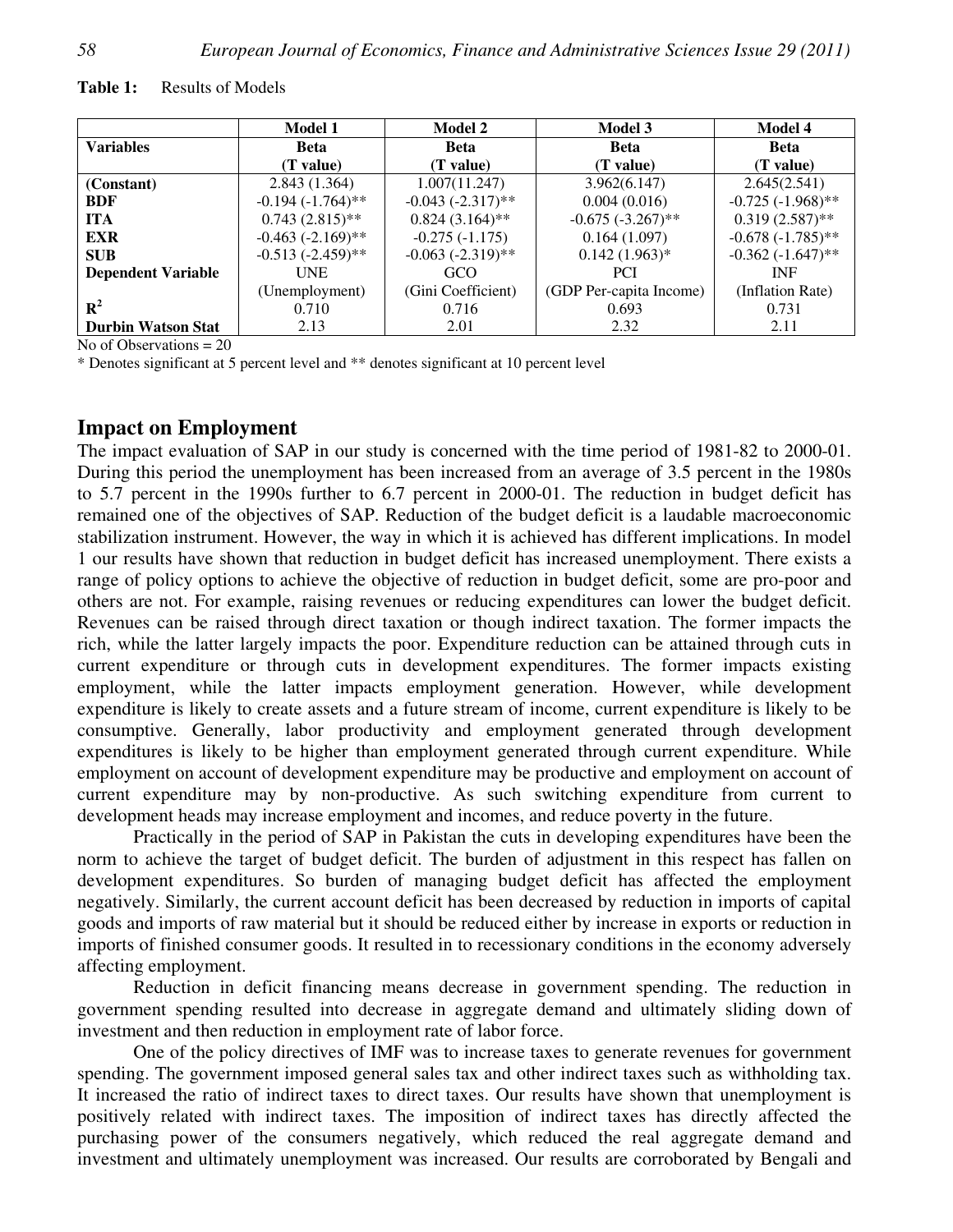| <b>Table 1:</b><br>Results of Models |  |
|--------------------------------------|--|
|--------------------------------------|--|

|                           | <b>Model 1</b>         | <b>Model 2</b>         | <b>Model 3</b>          | <b>Model 4</b>       |
|---------------------------|------------------------|------------------------|-------------------------|----------------------|
| <b>Variables</b>          | <b>Beta</b>            | <b>Beta</b>            | <b>Beta</b>             | <b>Beta</b>          |
|                           | (T value)              | (T value)              | (T value)               | (T value)            |
| (Constant)                | 2.843(1.364)           | 1.007(11.247)          | 3.962(6.147)            | 2.645(2.541)         |
| <b>BDF</b>                | $-0.194 (-1.764)$ **   | $-0.043 (-2.317)$ **   | 0.004(0.016)            | $-0.725 (-1.968)$ ** |
| <b>ITA</b>                | $0.743(2.815)$ **      | $0.824(3.164)$ **      | $-0.675 (-3.267)$ **    | $0.319(2.587)$ **    |
| <b>EXR</b>                | $-0.463$ $(-2.169)$ ** | $-0.275(-1.175)$       | 0.164(1.097)            | $-0.678(-1.785)$ **  |
| <b>SUB</b>                | $-0.513(-2.459)$ **    | $-0.063$ $(-2.319)$ ** | $0.142(1.963)*$         | $-0.362(-1.647)$ **  |
| <b>Dependent Variable</b> | <b>UNE</b>             | GCO                    | <b>PCI</b>              | <b>INF</b>           |
|                           | (Unemployment)         | (Gini Coefficient)     | (GDP Per-capita Income) | (Inflation Rate)     |
| $\mathbf{R}^2$            | 0.710                  | 0.716                  | 0.693                   | 0.731                |
| <b>Durbin Watson Stat</b> | 2.13                   | 2.01                   | 2.32                    | 2.11                 |

No of Observations  $= 20$ 

\* Denotes significant at 5 percent level and \*\* denotes significant at 10 percent level

## **Impact on Employment**

The impact evaluation of SAP in our study is concerned with the time period of 1981-82 to 2000-01. During this period the unemployment has been increased from an average of 3.5 percent in the 1980s to 5.7 percent in the 1990s further to 6.7 percent in 2000-01. The reduction in budget deficit has remained one of the objectives of SAP. Reduction of the budget deficit is a laudable macroeconomic stabilization instrument. However, the way in which it is achieved has different implications. In model 1 our results have shown that reduction in budget deficit has increased unemployment. There exists a range of policy options to achieve the objective of reduction in budget deficit, some are pro-poor and others are not. For example, raising revenues or reducing expenditures can lower the budget deficit. Revenues can be raised through direct taxation or though indirect taxation. The former impacts the rich, while the latter largely impacts the poor. Expenditure reduction can be attained through cuts in current expenditure or through cuts in development expenditures. The former impacts existing employment, while the latter impacts employment generation. However, while development expenditure is likely to create assets and a future stream of income, current expenditure is likely to be consumptive. Generally, labor productivity and employment generated through development expenditures is likely to be higher than employment generated through current expenditure. While employment on account of development expenditure may be productive and employment on account of current expenditure may by non-productive. As such switching expenditure from current to development heads may increase employment and incomes, and reduce poverty in the future.

Practically in the period of SAP in Pakistan the cuts in developing expenditures have been the norm to achieve the target of budget deficit. The burden of adjustment in this respect has fallen on development expenditures. So burden of managing budget deficit has affected the employment negatively. Similarly, the current account deficit has been decreased by reduction in imports of capital goods and imports of raw material but it should be reduced either by increase in exports or reduction in imports of finished consumer goods. It resulted in to recessionary conditions in the economy adversely affecting employment.

Reduction in deficit financing means decrease in government spending. The reduction in government spending resulted into decrease in aggregate demand and ultimately sliding down of investment and then reduction in employment rate of labor force.

One of the policy directives of IMF was to increase taxes to generate revenues for government spending. The government imposed general sales tax and other indirect taxes such as withholding tax. It increased the ratio of indirect taxes to direct taxes. Our results have shown that unemployment is positively related with indirect taxes. The imposition of indirect taxes has directly affected the purchasing power of the consumers negatively, which reduced the real aggregate demand and investment and ultimately unemployment was increased. Our results are corroborated by Bengali and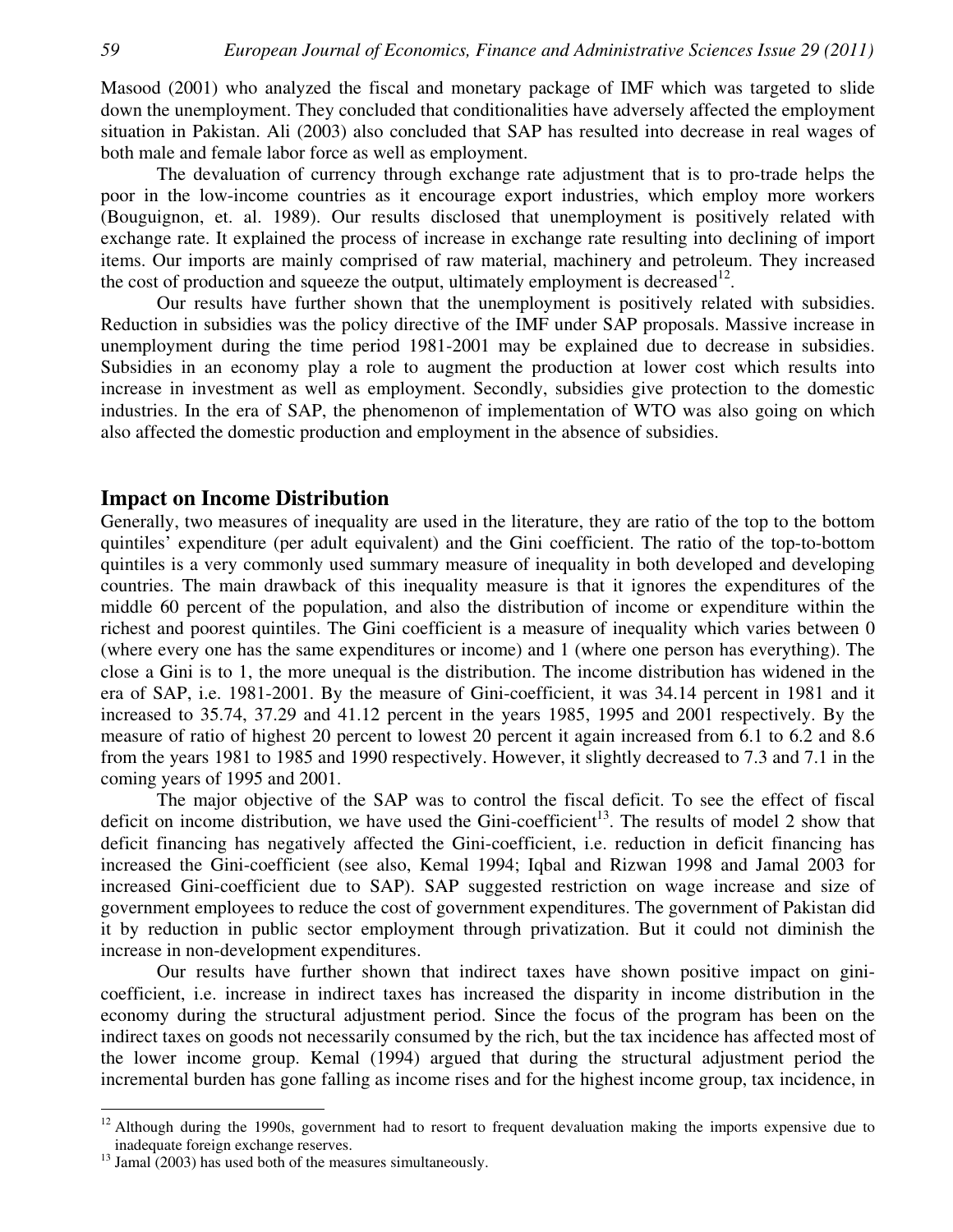Masood (2001) who analyzed the fiscal and monetary package of IMF which was targeted to slide down the unemployment. They concluded that conditionalities have adversely affected the employment situation in Pakistan. Ali (2003) also concluded that SAP has resulted into decrease in real wages of both male and female labor force as well as employment.

The devaluation of currency through exchange rate adjustment that is to pro-trade helps the poor in the low-income countries as it encourage export industries, which employ more workers (Bouguignon, et. al. 1989). Our results disclosed that unemployment is positively related with exchange rate. It explained the process of increase in exchange rate resulting into declining of import items. Our imports are mainly comprised of raw material, machinery and petroleum. They increased the cost of production and squeeze the output, ultimately employment is decreased<sup>12</sup>.

Our results have further shown that the unemployment is positively related with subsidies. Reduction in subsidies was the policy directive of the IMF under SAP proposals. Massive increase in unemployment during the time period 1981-2001 may be explained due to decrease in subsidies. Subsidies in an economy play a role to augment the production at lower cost which results into increase in investment as well as employment. Secondly, subsidies give protection to the domestic industries. In the era of SAP, the phenomenon of implementation of WTO was also going on which also affected the domestic production and employment in the absence of subsidies.

#### **Impact on Income Distribution**

Generally, two measures of inequality are used in the literature, they are ratio of the top to the bottom quintiles' expenditure (per adult equivalent) and the Gini coefficient. The ratio of the top-to-bottom quintiles is a very commonly used summary measure of inequality in both developed and developing countries. The main drawback of this inequality measure is that it ignores the expenditures of the middle 60 percent of the population, and also the distribution of income or expenditure within the richest and poorest quintiles. The Gini coefficient is a measure of inequality which varies between 0 (where every one has the same expenditures or income) and 1 (where one person has everything). The close a Gini is to 1, the more unequal is the distribution. The income distribution has widened in the era of SAP, i.e. 1981-2001. By the measure of Gini-coefficient, it was 34.14 percent in 1981 and it increased to 35.74, 37.29 and 41.12 percent in the years 1985, 1995 and 2001 respectively. By the measure of ratio of highest 20 percent to lowest 20 percent it again increased from 6.1 to 6.2 and 8.6 from the years 1981 to 1985 and 1990 respectively. However, it slightly decreased to 7.3 and 7.1 in the coming years of 1995 and 2001.

The major objective of the SAP was to control the fiscal deficit. To see the effect of fiscal deficit on income distribution, we have used the Gini-coefficient<sup>13</sup>. The results of model 2 show that deficit financing has negatively affected the Gini-coefficient, i.e. reduction in deficit financing has increased the Gini-coefficient (see also, Kemal 1994; Iqbal and Rizwan 1998 and Jamal 2003 for increased Gini-coefficient due to SAP). SAP suggested restriction on wage increase and size of government employees to reduce the cost of government expenditures. The government of Pakistan did it by reduction in public sector employment through privatization. But it could not diminish the increase in non-development expenditures.

Our results have further shown that indirect taxes have shown positive impact on ginicoefficient, i.e. increase in indirect taxes has increased the disparity in income distribution in the economy during the structural adjustment period. Since the focus of the program has been on the indirect taxes on goods not necessarily consumed by the rich, but the tax incidence has affected most of the lower income group. Kemal (1994) argued that during the structural adjustment period the incremental burden has gone falling as income rises and for the highest income group, tax incidence, in

 $\overline{a}$ 

 $12$  Although during the 1990s, government had to resort to frequent devaluation making the imports expensive due to inadequate foreign exchange reserves.

 $^{13}$  Jamal (2003) has used both of the measures simultaneously.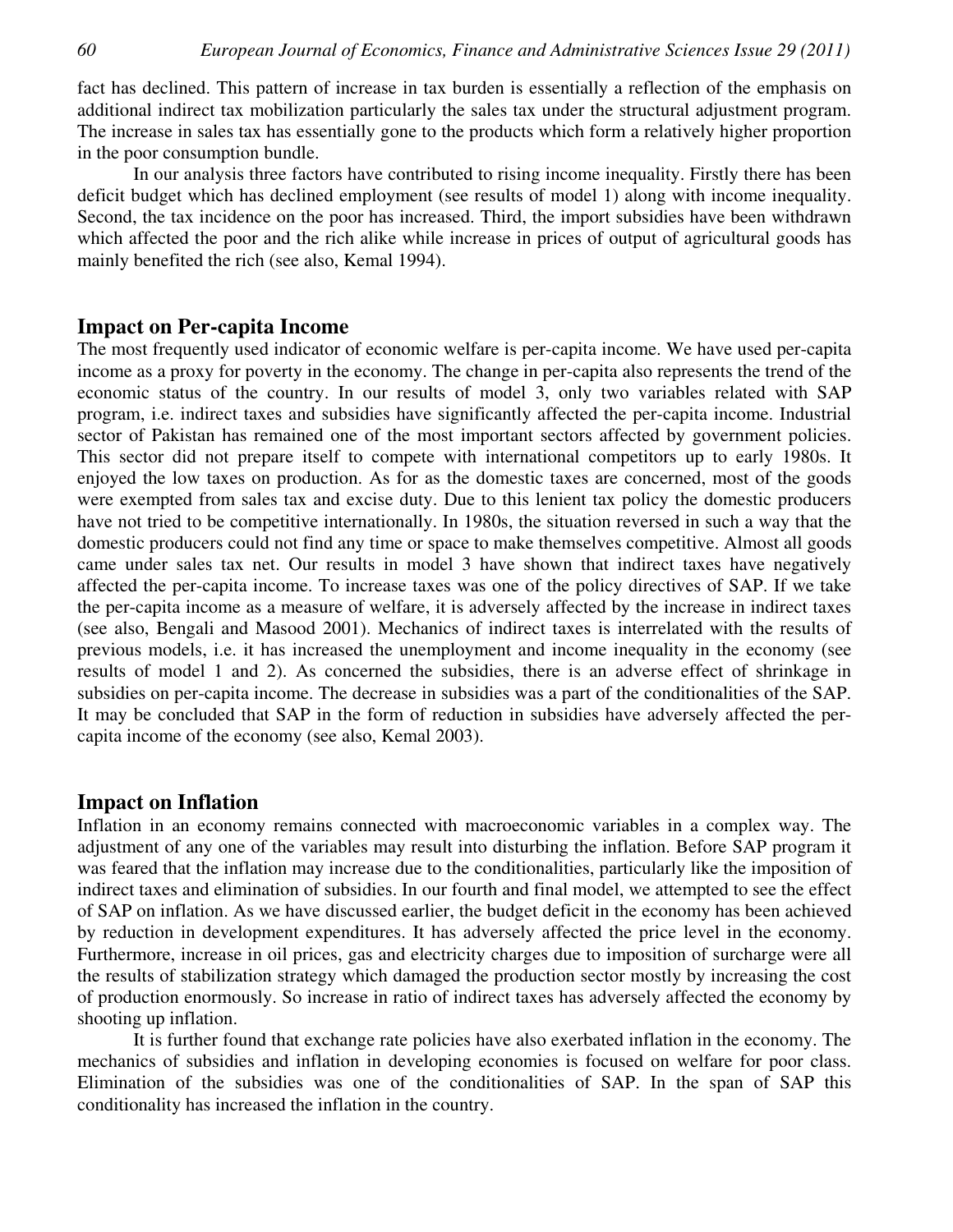fact has declined. This pattern of increase in tax burden is essentially a reflection of the emphasis on additional indirect tax mobilization particularly the sales tax under the structural adjustment program. The increase in sales tax has essentially gone to the products which form a relatively higher proportion in the poor consumption bundle.

In our analysis three factors have contributed to rising income inequality. Firstly there has been deficit budget which has declined employment (see results of model 1) along with income inequality. Second, the tax incidence on the poor has increased. Third, the import subsidies have been withdrawn which affected the poor and the rich alike while increase in prices of output of agricultural goods has mainly benefited the rich (see also, Kemal 1994).

#### **Impact on Per-capita Income**

The most frequently used indicator of economic welfare is per-capita income. We have used per-capita income as a proxy for poverty in the economy. The change in per-capita also represents the trend of the economic status of the country. In our results of model 3, only two variables related with SAP program, i.e. indirect taxes and subsidies have significantly affected the per-capita income. Industrial sector of Pakistan has remained one of the most important sectors affected by government policies. This sector did not prepare itself to compete with international competitors up to early 1980s. It enjoyed the low taxes on production. As for as the domestic taxes are concerned, most of the goods were exempted from sales tax and excise duty. Due to this lenient tax policy the domestic producers have not tried to be competitive internationally. In 1980s, the situation reversed in such a way that the domestic producers could not find any time or space to make themselves competitive. Almost all goods came under sales tax net. Our results in model 3 have shown that indirect taxes have negatively affected the per-capita income. To increase taxes was one of the policy directives of SAP. If we take the per-capita income as a measure of welfare, it is adversely affected by the increase in indirect taxes (see also, Bengali and Masood 2001). Mechanics of indirect taxes is interrelated with the results of previous models, i.e. it has increased the unemployment and income inequality in the economy (see results of model 1 and 2). As concerned the subsidies, there is an adverse effect of shrinkage in subsidies on per-capita income. The decrease in subsidies was a part of the conditionalities of the SAP. It may be concluded that SAP in the form of reduction in subsidies have adversely affected the percapita income of the economy (see also, Kemal 2003).

#### **Impact on Inflation**

Inflation in an economy remains connected with macroeconomic variables in a complex way. The adjustment of any one of the variables may result into disturbing the inflation. Before SAP program it was feared that the inflation may increase due to the conditionalities, particularly like the imposition of indirect taxes and elimination of subsidies. In our fourth and final model, we attempted to see the effect of SAP on inflation. As we have discussed earlier, the budget deficit in the economy has been achieved by reduction in development expenditures. It has adversely affected the price level in the economy. Furthermore, increase in oil prices, gas and electricity charges due to imposition of surcharge were all the results of stabilization strategy which damaged the production sector mostly by increasing the cost of production enormously. So increase in ratio of indirect taxes has adversely affected the economy by shooting up inflation.

It is further found that exchange rate policies have also exerbated inflation in the economy. The mechanics of subsidies and inflation in developing economies is focused on welfare for poor class. Elimination of the subsidies was one of the conditionalities of SAP. In the span of SAP this conditionality has increased the inflation in the country.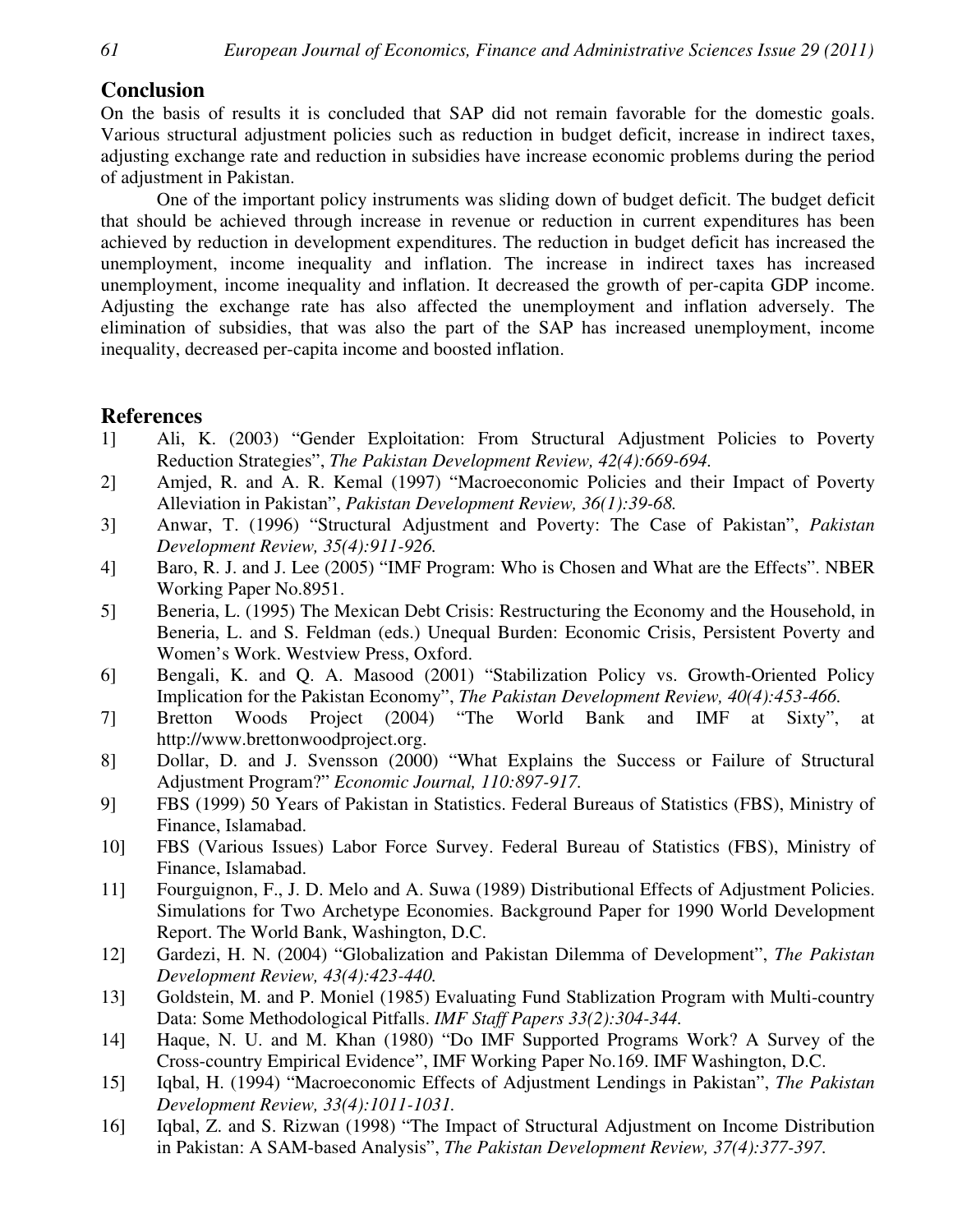# **Conclusion**

On the basis of results it is concluded that SAP did not remain favorable for the domestic goals. Various structural adjustment policies such as reduction in budget deficit, increase in indirect taxes, adjusting exchange rate and reduction in subsidies have increase economic problems during the period of adjustment in Pakistan.

One of the important policy instruments was sliding down of budget deficit. The budget deficit that should be achieved through increase in revenue or reduction in current expenditures has been achieved by reduction in development expenditures. The reduction in budget deficit has increased the unemployment, income inequality and inflation. The increase in indirect taxes has increased unemployment, income inequality and inflation. It decreased the growth of per-capita GDP income. Adjusting the exchange rate has also affected the unemployment and inflation adversely. The elimination of subsidies, that was also the part of the SAP has increased unemployment, income inequality, decreased per-capita income and boosted inflation.

# **References**

- 1] Ali, K. (2003) "Gender Exploitation: From Structural Adjustment Policies to Poverty Reduction Strategies", *The Pakistan Development Review, 42(4):669-694.*
- 2] Amjed, R. and A. R. Kemal (1997) "Macroeconomic Policies and their Impact of Poverty Alleviation in Pakistan", *Pakistan Development Review, 36(1):39-68.*
- 3] Anwar, T. (1996) "Structural Adjustment and Poverty: The Case of Pakistan", *Pakistan Development Review, 35(4):911-926.*
- 4] Baro, R. J. and J. Lee (2005) "IMF Program: Who is Chosen and What are the Effects". NBER Working Paper No.8951.
- 5] Beneria, L. (1995) The Mexican Debt Crisis: Restructuring the Economy and the Household, in Beneria, L. and S. Feldman (eds.) Unequal Burden: Economic Crisis, Persistent Poverty and Women's Work. Westview Press, Oxford.
- 6] Bengali, K. and Q. A. Masood (2001) "Stabilization Policy vs. Growth-Oriented Policy Implication for the Pakistan Economy", *The Pakistan Development Review, 40(4):453-466.*
- 7] Bretton Woods Project (2004) "The World Bank and IMF at Sixty", at http://www.brettonwoodproject.org.
- 8] Dollar, D. and J. Svensson (2000) "What Explains the Success or Failure of Structural Adjustment Program?" *Economic Journal, 110:897-917.*
- 9] FBS (1999) 50 Years of Pakistan in Statistics. Federal Bureaus of Statistics (FBS), Ministry of Finance, Islamabad.
- 10] FBS (Various Issues) Labor Force Survey. Federal Bureau of Statistics (FBS), Ministry of Finance, Islamabad.
- 11] Fourguignon, F., J. D. Melo and A. Suwa (1989) Distributional Effects of Adjustment Policies. Simulations for Two Archetype Economies. Background Paper for 1990 World Development Report. The World Bank, Washington, D.C.
- 12] Gardezi, H. N. (2004) "Globalization and Pakistan Dilemma of Development", *The Pakistan Development Review, 43(4):423-440.*
- 13] Goldstein, M. and P. Moniel (1985) Evaluating Fund Stablization Program with Multi-country Data: Some Methodological Pitfalls. *IMF Staff Papers 33(2):304-344.*
- 14] Haque, N. U. and M. Khan (1980) "Do IMF Supported Programs Work? A Survey of the Cross-country Empirical Evidence", IMF Working Paper No.169. IMF Washington, D.C.
- 15] Iqbal, H. (1994) "Macroeconomic Effects of Adjustment Lendings in Pakistan", *The Pakistan Development Review, 33(4):1011-1031.*
- 16] Iqbal, Z. and S. Rizwan (1998) "The Impact of Structural Adjustment on Income Distribution in Pakistan: A SAM-based Analysis", *The Pakistan Development Review, 37(4):377-397.*